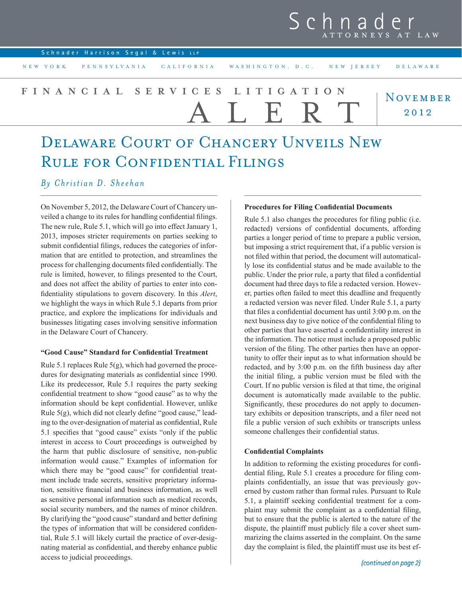## Schna ATTORNEYS AT LAW

**Schnader Harrison Segal** & **Lewis LLP**

NEW YORK PENNSYLVANIA CALIFORNIA WASHINGTON, D.C. NEW JERSEY DELAWARE

#### **NOVEMBER** 2012 **FINANCIAL SERVICES LITIGATION** ALERT

# Delaware Court of Chancery Unveils New RULE FOR CONFIDENTIAL FILINGS

### *By Christian D. Sheehan*

On November 5, 2012, the Delaware Court of Chancery unveiled a change to its rules for handling confidential filings. The new rule, Rule 5.1, which will go into effect January 1, 2013, imposes stricter requirements on parties seeking to submit confidential filings, reduces the categories of information that are entitled to protection, and streamlines the process for challenging documents filed confidentially. The rule is limited, however, to filings presented to the Court, and does not affect the ability of parties to enter into confidentiality stipulations to govern discovery. In this *Alert*, we highlight the ways in which Rule 5.1 departs from prior practice, and explore the implications for individuals and businesses litigating cases involving sensitive information in the Delaware Court of Chancery.

#### **"Good Cause" Standard for Confidential Treatment**

Rule 5.1 replaces Rule 5(g), which had governed the procedures for designating materials as confidential since 1990. Like its predecessor, Rule 5.1 requires the party seeking confidential treatment to show "good cause" as to why the information should be kept confidential. However, unlike Rule 5(g), which did not clearly define "good cause," leading to the over-designation of material as confidential, Rule 5.1 specifies that "good cause" exists "only if the public interest in access to Court proceedings is outweighed by the harm that public disclosure of sensitive, non-public information would cause." Examples of information for which there may be "good cause" for confidential treatment include trade secrets, sensitive proprietary information, sensitive financial and business information, as well as sensitive personal information such as medical records, social security numbers, and the names of minor children. By clarifying the "good cause" standard and better defining the types of information that will be considered confidential, Rule 5.1 will likely curtail the practice of over-designating material as confidential, and thereby enhance public access to judicial proceedings.

#### **Procedures for Filing Confidential Documents**

Rule 5.1 also changes the procedures for filing public (i.e. redacted) versions of confidential documents, affording parties a longer period of time to prepare a public version, but imposing a strict requirement that, if a public version is not filed within that period, the document will automatically lose its confidential status and be made available to the public. Under the prior rule, a party that filed a confidential document had three days to file a redacted version. However, parties often failed to meet this deadline and frequently a redacted version was never filed. Under Rule 5.1, a party that files a confidential document has until 3:00 p.m. on the next business day to give notice of the confidential filing to other parties that have asserted a confidentiality interest in the information. The notice must include a proposed public version of the filing. The other parties then have an opportunity to offer their input as to what information should be redacted, and by 3:00 p.m. on the fifth business day after the initial filing, a public version must be filed with the Court. If no public version is filed at that time, the original document is automatically made available to the public. Significantly, these procedures do not apply to documentary exhibits or deposition transcripts, and a filer need not file a public version of such exhibits or transcripts unless someone challenges their confidential status.

#### **Confidential Complaints**

In addition to reforming the existing procedures for confidential filing, Rule 5.1 creates a procedure for filing complaints confidentially, an issue that was previously governed by custom rather than formal rules. Pursuant to Rule 5.1, a plaintiff seeking confidential treatment for a complaint may submit the complaint as a confidential filing, but to ensure that the public is alerted to the nature of the dispute, the plaintiff must publicly file a cover sheet summarizing the claims asserted in the complaint. On the same day the complaint is filed, the plaintiff must use its best ef-